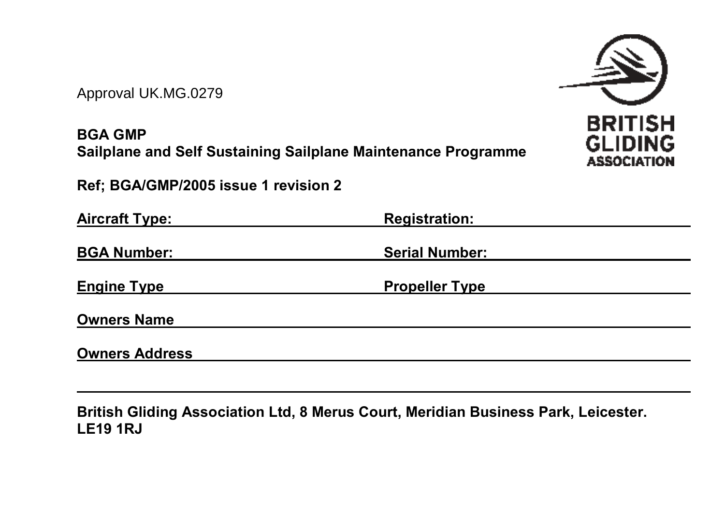Approval UK.MG.0279

# **BGA GMP Sailplane and Self Sustaining Sailplane Maintenance Programme**

**Ref; BGA/GMP/2005 issue 1 revision 2**

| <b>Aircraft Type:</b> | <b>Registration:</b>  |  |  |
|-----------------------|-----------------------|--|--|
| <b>BGA Number:</b>    | <b>Serial Number:</b> |  |  |
| <b>Engine Type</b>    | <b>Propeller Type</b> |  |  |
| <b>Owners Name</b>    |                       |  |  |
| <b>Owners Address</b> |                       |  |  |

**British Gliding Association Ltd, 8 Merus Court, Meridian Business Park, Leicester. LE19 1RJ**

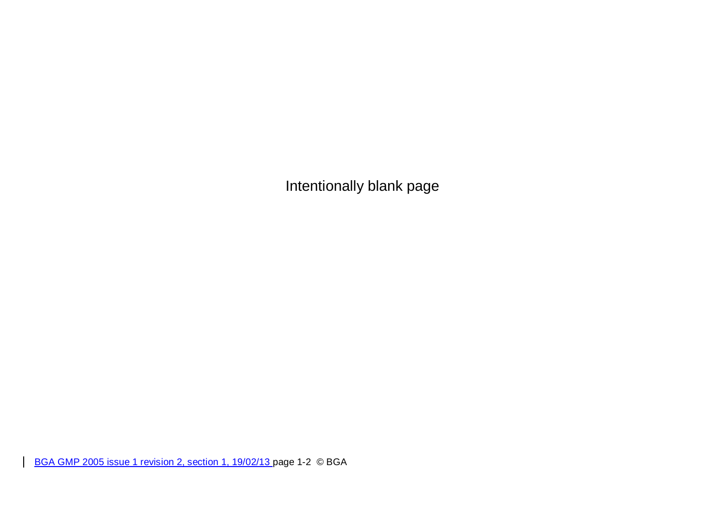Intentionally blank page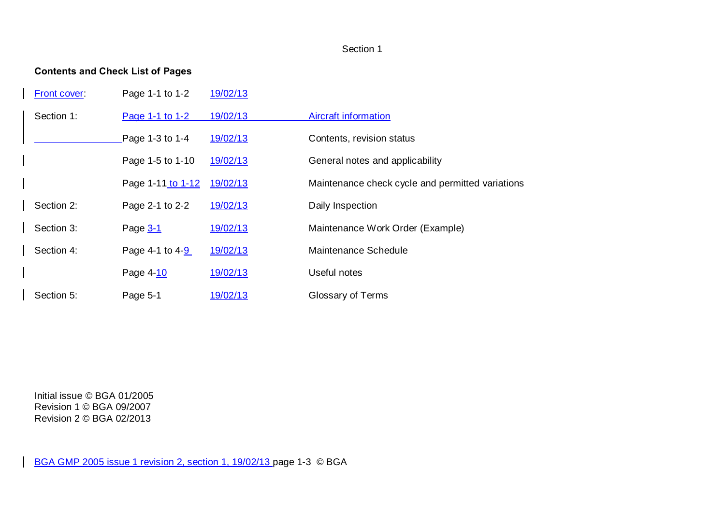### Section 1

## **Contents and Check List of Pages**

| Front cover: | Page 1-1 to 1-2   | 19/02/13 |                                                  |
|--------------|-------------------|----------|--------------------------------------------------|
| Section 1:   | Page 1-1 to 1-2   | 19/02/13 | <b>Aircraft information</b>                      |
|              | Page 1-3 to 1-4   | 19/02/13 | Contents, revision status                        |
|              | Page 1-5 to 1-10  | 19/02/13 | General notes and applicability                  |
|              | Page 1-11 to 1-12 | 19/02/13 | Maintenance check cycle and permitted variations |
| Section 2:   | Page 2-1 to 2-2   | 19/02/13 | Daily Inspection                                 |
| Section 3:   | Page 3-1          | 19/02/13 | Maintenance Work Order (Example)                 |
| Section 4:   | Page 4-1 to 4-9   | 19/02/13 | Maintenance Schedule                             |
|              | Page 4-10         | 19/02/13 | Useful notes                                     |
| Section 5:   | Page 5-1          | 19/02/13 | Glossary of Terms                                |

Initial issue © BGA 01/2005 Revision 1 © BGA 09/2007 Revision 2 © BGA 02/2013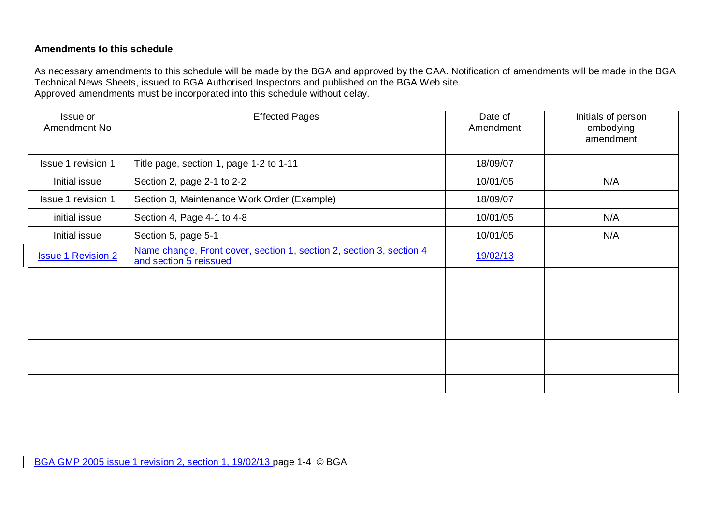## **Amendments to this schedule**

As necessary amendments to this schedule will be made by the BGA and approved by the CAA. Notification of amendments will be made in the BGA Technical News Sheets, issued to BGA Authorised Inspectors and published on the BGA Web site. Approved amendments must be incorporated into this schedule without delay.

| Issue or<br>Amendment No                                          | <b>Effected Pages</b>                                                                          | Date of<br>Amendment | Initials of person<br>embodying<br>amendment |
|-------------------------------------------------------------------|------------------------------------------------------------------------------------------------|----------------------|----------------------------------------------|
| Issue 1 revision 1                                                | Title page, section 1, page 1-2 to 1-11                                                        | 18/09/07             |                                              |
| Section 2, page 2-1 to 2-2<br>Initial issue                       |                                                                                                | 10/01/05             | N/A                                          |
| Section 3, Maintenance Work Order (Example)<br>Issue 1 revision 1 |                                                                                                | 18/09/07             |                                              |
| initial issue                                                     | Section 4, Page 4-1 to 4-8                                                                     | 10/01/05             | N/A                                          |
| Initial issue                                                     | Section 5, page 5-1                                                                            | 10/01/05             | N/A                                          |
| <b>Issue 1 Revision 2</b>                                         | Name change, Front cover, section 1, section 2, section 3, section 4<br>and section 5 reissued | 19/02/13             |                                              |
|                                                                   |                                                                                                |                      |                                              |
|                                                                   |                                                                                                |                      |                                              |
|                                                                   |                                                                                                |                      |                                              |
|                                                                   |                                                                                                |                      |                                              |
|                                                                   |                                                                                                |                      |                                              |
|                                                                   |                                                                                                |                      |                                              |
|                                                                   |                                                                                                |                      |                                              |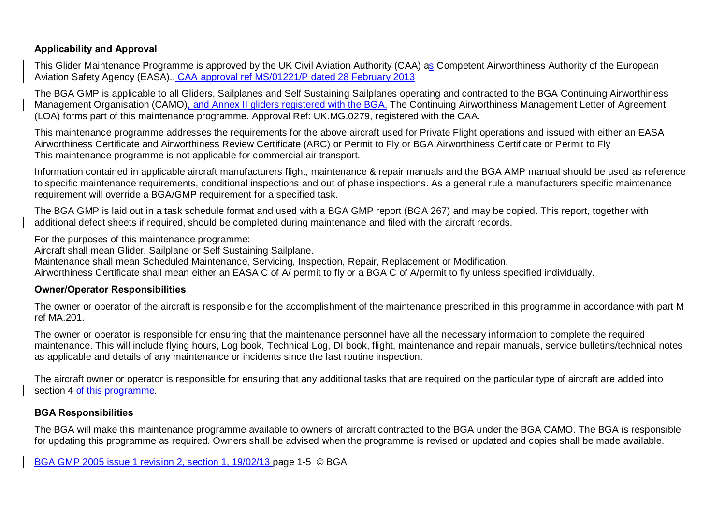## **Applicability and Approval**

This Glider Maintenance Programme is approved by the UK Civil Aviation Authority (CAA) as Competent Airworthiness Authority of the European Aviation Safety Agency (EASA).. CAA approval ref MS/01221/P dated 28 February 2013

The BGA GMP is applicable to all Gliders, Sailplanes and Self Sustaining Sailplanes operating and contracted to the BGA Continuing Airworthiness Management Organisation (CAMO), and Annex II gliders registered with the BGA. The Continuing Airworthiness Management Letter of Agreement (LOA) forms part of this maintenance programme. Approval Ref: UK.MG.0279, registered with the CAA.

This maintenance programme addresses the requirements for the above aircraft used for Private Flight operations and issued with either an EASA Airworthiness Certificate and Airworthiness Review Certificate (ARC) or Permit to Fly or BGA Airworthiness Certificate or Permit to Fly This maintenance programme is not applicable for commercial air transport.

Information contained in applicable aircraft manufacturers flight, maintenance & repair manuals and the BGA AMP manual should be used as reference to specific maintenance requirements, conditional inspections and out of phase inspections. As a general rule a manufacturers specific maintenance requirement will override a BGA/GMP requirement for a specified task.

The BGA GMP is laid out in a task schedule format and used with a BGA GMP report (BGA 267) and may be copied. This report, together with additional defect sheets if required, should be completed during maintenance and filed with the aircraft records.

For the purposes of this maintenance programme:

Aircraft shall mean Glider, Sailplane or Self Sustaining Sailplane.

Maintenance shall mean Scheduled Maintenance, Servicing, Inspection, Repair, Replacement or Modification.

Airworthiness Certificate shall mean either an EASA C of A/ permit to fly or a BGA C of A/permit to fly unless specified individually.

#### **Owner/Operator Responsibilities**

The owner or operator of the aircraft is responsible for the accomplishment of the maintenance prescribed in this programme in accordance with part M ref MA.201.

The owner or operator is responsible for ensuring that the maintenance personnel have all the necessary information to complete the required maintenance. This will include flying hours, Log book, Technical Log, DI book, flight, maintenance and repair manuals, service bulletins/technical notes as applicable and details of any maintenance or incidents since the last routine inspection.

The aircraft owner or operator is responsible for ensuring that any additional tasks that are required on the particular type of aircraft are added into section 4 of this programme.

#### **BGA Responsibilities**

The BGA will make this maintenance programme available to owners of aircraft contracted to the BGA under the BGA CAMO. The BGA is responsible for updating this programme as required. Owners shall be advised when the programme is revised or updated and copies shall be made available.

BGA GMP 2005 issue 1 revision 2, section 1, 19/02/13 page 1-5 © BGA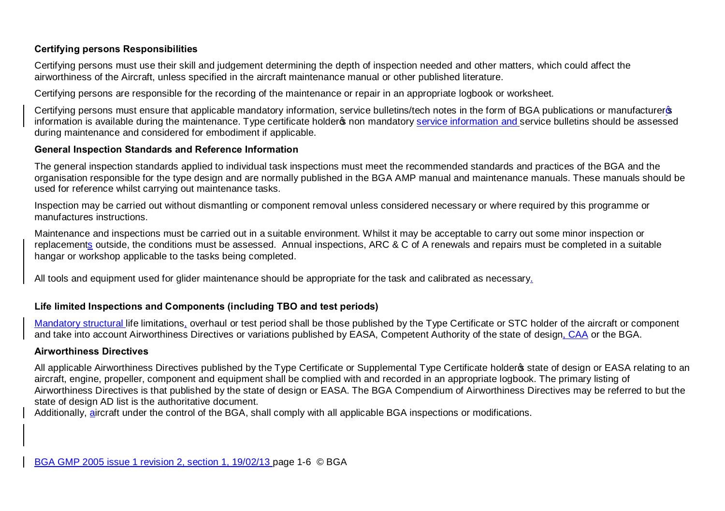## **Certifying persons Responsibilities**

Certifying persons must use their skill and judgement determining the depth of inspection needed and other matters, which could affect the airworthiness of the Aircraft, unless specified in the aircraft maintenance manual or other published literature.

Certifying persons are responsible for the recording of the maintenance or repair in an appropriate logbook or worksheet.

Certifying persons must ensure that applicable mandatory information, service bulletins/tech notes in the form of BGA publications or manufacturers information is available during the maintenance. Type certificate holders non mandatory service information and service bulletins should be assessed during maintenance and considered for embodiment if applicable.

## **General Inspection Standards and Reference Information**

The general inspection standards applied to individual task inspections must meet the recommended standards and practices of the BGA and the organisation responsible for the type design and are normally published in the BGA AMP manual and maintenance manuals. These manuals should be used for reference whilst carrying out maintenance tasks.

Inspection may be carried out without dismantling or component removal unless considered necessary or where required by this programme or manufactures instructions.

Maintenance and inspections must be carried out in a suitable environment. Whilst it may be acceptable to carry out some minor inspection or replacements outside, the conditions must be assessed. Annual inspections, ARC & C of A renewals and repairs must be completed in a suitable hangar or workshop applicable to the tasks being completed.

All tools and equipment used for glider maintenance should be appropriate for the task and calibrated as necessary.

## **Life limited Inspections and Components (including TBO and test periods)**

Mandatory structural life limitations, overhaul or test period shall be those published by the Type Certificate or STC holder of the aircraft or component and take into account Airworthiness Directives or variations published by EASA, Competent Authority of the state of design, CAA or the BGA.

## **Airworthiness Directives**

All applicable Airworthiness Directives published by the Type Certificate or Supplemental Type Certificate holders state of design or EASA relating to an aircraft, engine, propeller, component and equipment shall be complied with and recorded in an appropriate logbook. The primary listing of Airworthiness Directives is that published by the state of design or EASA. The BGA Compendium of Airworthiness Directives may be referred to but the state of design AD list is the authoritative document.

Additionally, aircraft under the control of the BGA, shall comply with all applicable BGA inspections or modifications.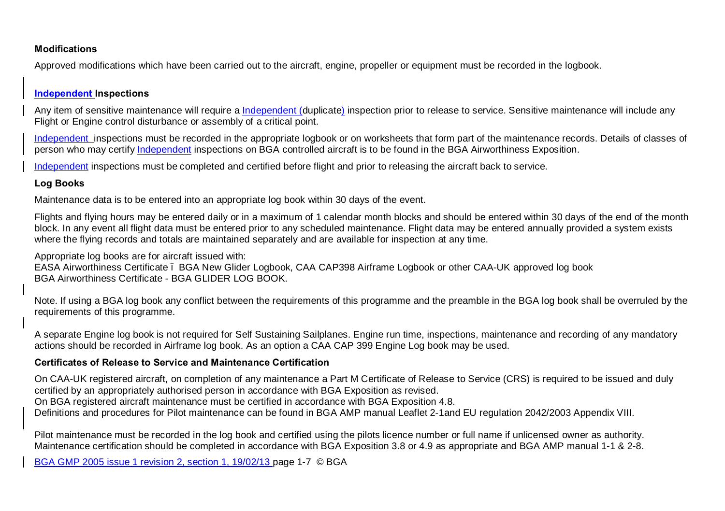#### **Modifications**

Approved modifications which have been carried out to the aircraft, engine, propeller or equipment must be recorded in the logbook.

## **Independent Inspections**

Any item of sensitive maintenance will require a Independent (duplicate) inspection prior to release to service. Sensitive maintenance will include any Flight or Engine control disturbance or assembly of a critical point.

Independent inspections must be recorded in the appropriate logbook or on worksheets that form part of the maintenance records. Details of classes of person who may certify Independent inspections on BGA controlled aircraft is to be found in the BGA Airworthiness Exposition.

Independent inspections must be completed and certified before flight and prior to releasing the aircraft back to service.

## **Log Books**

Maintenance data is to be entered into an appropriate log book within 30 days of the event.

Flights and flying hours may be entered daily or in a maximum of 1 calendar month blocks and should be entered within 30 days of the end of the month block. In any event all flight data must be entered prior to any scheduled maintenance. Flight data may be entered annually provided a system exists where the flying records and totals are maintained separately and are available for inspection at any time.

Appropriate log books are for aircraft issued with:

EASA Airworthiness Certificate – BGA New Glider Logbook, CAA CAP398 Airframe Logbook or other CAA-UK approved log book BGA Airworthiness Certificate - BGA GLIDER LOG BOOK.

Note. If using a BGA log book any conflict between the requirements of this programme and the preamble in the BGA log book shall be overruled by the requirements of this programme.

A separate Engine log book is not required for Self Sustaining Sailplanes. Engine run time, inspections, maintenance and recording of any mandatory actions should be recorded in Airframe log book. As an option a CAA CAP 399 Engine Log book may be used.

## **Certificates of Release to Service and Maintenance Certification**

On CAA-UK registered aircraft, on completion of any maintenance a Part M Certificate of Release to Service (CRS) is required to be issued and duly certified by an appropriately authorised person in accordance with BGA Exposition as revised.

On BGA registered aircraft maintenance must be certified in accordance with BGA Exposition 4.8.

Definitions and procedures for Pilot maintenance can be found in BGA AMP manual Leaflet 2-1and EU regulation 2042/2003 Appendix VIII.

Pilot maintenance must be recorded in the log book and certified using the pilots licence number or full name if unlicensed owner as authority. Maintenance certification should be completed in accordance with BGA Exposition 3.8 or 4.9 as appropriate and BGA AMP manual 1-1 & 2-8.

BGA GMP 2005 issue 1 revision 2, section 1, 19/02/13 page 1-7 © BGA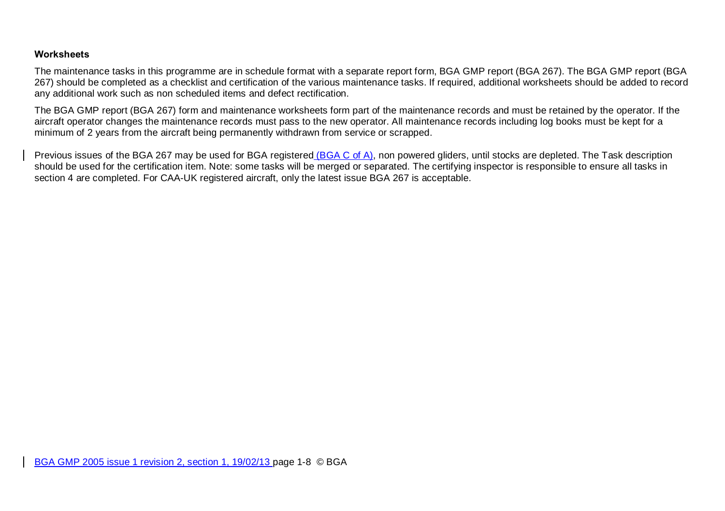#### **Worksheets**

The maintenance tasks in this programme are in schedule format with a separate report form, BGA GMP report (BGA 267). The BGA GMP report (BGA 267) should be completed as a checklist and certification of the various maintenance tasks. If required, additional worksheets should be added to record any additional work such as non scheduled items and defect rectification.

The BGA GMP report (BGA 267) form and maintenance worksheets form part of the maintenance records and must be retained by the operator. If the aircraft operator changes the maintenance records must pass to the new operator. All maintenance records including log books must be kept for a minimum of 2 years from the aircraft being permanently withdrawn from service or scrapped.

Previous issues of the BGA 267 may be used for BGA registered (BGA C of A), non powered gliders, until stocks are depleted. The Task description should be used for the certification item. Note: some tasks will be merged or separated. The certifying inspector is responsible to ensure all tasks in section 4 are completed. For CAA-UK registered aircraft, only the latest issue BGA 267 is acceptable.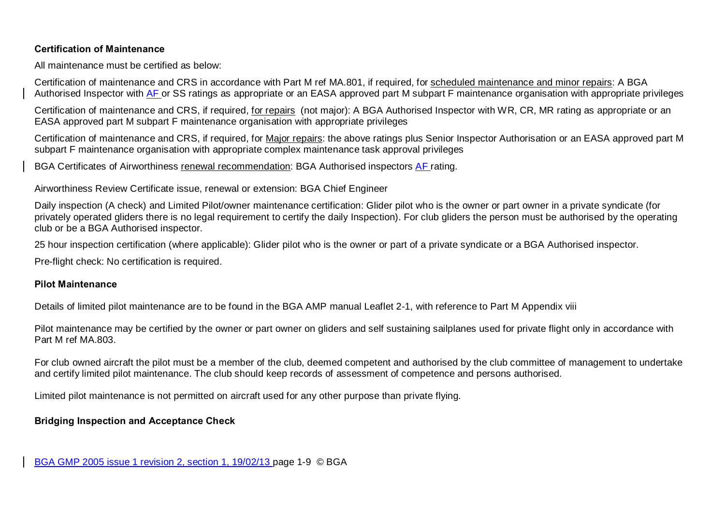#### **Certification of Maintenance**

All maintenance must be certified as below:

Certification of maintenance and CRS in accordance with Part M ref MA.801, if required, for scheduled maintenance and minor repairs: A BGA Authorised Inspector with AF or SS ratings as appropriate or an EASA approved part M subpart F maintenance organisation with appropriate privileges

Certification of maintenance and CRS, if required, for repairs (not major): A BGA Authorised Inspector with WR, CR, MR rating as appropriate or an EASA approved part M subpart F maintenance organisation with appropriate privileges

Certification of maintenance and CRS, if required, for Major repairs: the above ratings plus Senior Inspector Authorisation or an EASA approved part M subpart F maintenance organisation with appropriate complex maintenance task approval privileges

BGA Certificates of Airworthiness renewal recommendation: BGA Authorised inspectors AF rating.

Airworthiness Review Certificate issue, renewal or extension: BGA Chief Engineer

Daily inspection (A check) and Limited Pilot/owner maintenance certification: Glider pilot who is the owner or part owner in a private syndicate (for privately operated gliders there is no legal requirement to certify the daily Inspection). For club gliders the person must be authorised by the operating club or be a BGA Authorised inspector.

25 hour inspection certification (where applicable): Glider pilot who is the owner or part of a private syndicate or a BGA Authorised inspector.

Pre-flight check: No certification is required.

## **Pilot Maintenance**

Details of limited pilot maintenance are to be found in the BGA AMP manual Leaflet 2-1, with reference to Part M Appendix viii

Pilot maintenance may be certified by the owner or part owner on gliders and self sustaining sailplanes used for private flight only in accordance with Part M ref MA 803

For club owned aircraft the pilot must be a member of the club, deemed competent and authorised by the club committee of management to undertake and certify limited pilot maintenance. The club should keep records of assessment of competence and persons authorised.

Limited pilot maintenance is not permitted on aircraft used for any other purpose than private flying.

#### **Bridging Inspection and Acceptance Check**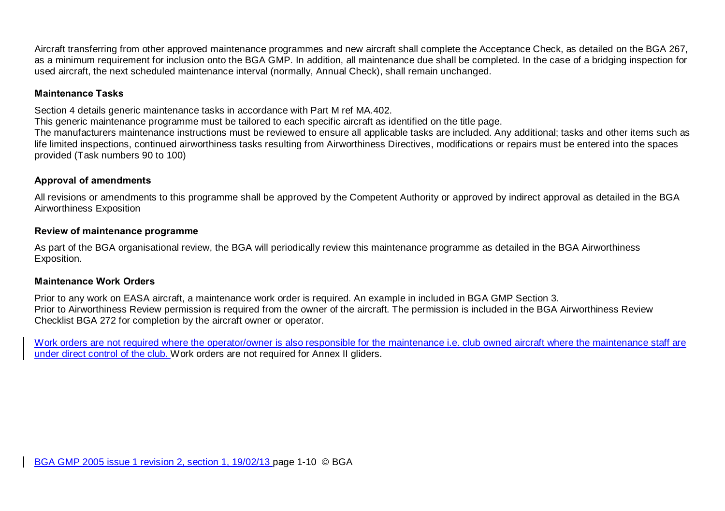Aircraft transferring from other approved maintenance programmes and new aircraft shall complete the Acceptance Check, as detailed on the BGA 267, as a minimum requirement for inclusion onto the BGA GMP. In addition, all maintenance due shall be completed. In the case of a bridging inspection for used aircraft, the next scheduled maintenance interval (normally, Annual Check), shall remain unchanged.

#### **Maintenance Tasks**

Section 4 details generic maintenance tasks in accordance with Part M ref MA.402.

This generic maintenance programme must be tailored to each specific aircraft as identified on the title page.

The manufacturers maintenance instructions must be reviewed to ensure all applicable tasks are included. Any additional; tasks and other items such as life limited inspections, continued airworthiness tasks resulting from Airworthiness Directives, modifications or repairs must be entered into the spaces provided (Task numbers 90 to 100)

#### **Approval of amendments**

All revisions or amendments to this programme shall be approved by the Competent Authority or approved by indirect approval as detailed in the BGA Airworthiness Exposition

#### **Review of maintenance programme**

As part of the BGA organisational review, the BGA will periodically review this maintenance programme as detailed in the BGA Airworthiness Exposition.

#### **Maintenance Work Orders**

Prior to any work on EASA aircraft, a maintenance work order is required. An example in included in BGA GMP Section 3. Prior to Airworthiness Review permission is required from the owner of the aircraft. The permission is included in the BGA Airworthiness Review Checklist BGA 272 for completion by the aircraft owner or operator.

Work orders are not required where the operator/owner is also responsible for the maintenance i.e. club owned aircraft where the maintenance staff are under direct control of the club. Work orders are not required for Annex II gliders.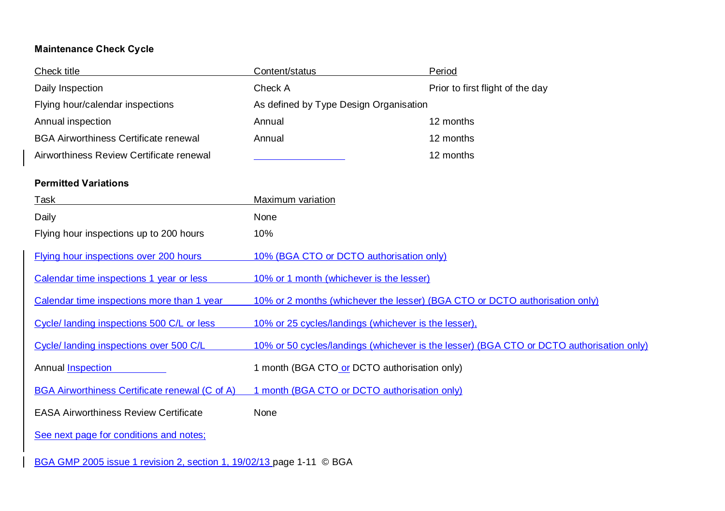## **Maintenance Check Cycle**

| Check title                                                          | Content/status                                                                           | Period                           |  |
|----------------------------------------------------------------------|------------------------------------------------------------------------------------------|----------------------------------|--|
| Daily Inspection                                                     | Check A                                                                                  | Prior to first flight of the day |  |
| Flying hour/calendar inspections                                     | As defined by Type Design Organisation                                                   |                                  |  |
| Annual inspection                                                    | Annual                                                                                   | 12 months                        |  |
| <b>BGA Airworthiness Certificate renewal</b>                         | Annual                                                                                   | 12 months                        |  |
| Airworthiness Review Certificate renewal                             |                                                                                          | 12 months                        |  |
| <b>Permitted Variations</b>                                          |                                                                                          |                                  |  |
| Task                                                                 | Maximum variation                                                                        |                                  |  |
| Daily                                                                | None                                                                                     |                                  |  |
| Flying hour inspections up to 200 hours                              | 10%                                                                                      |                                  |  |
| Flying hour inspections over 200 hours                               | 10% (BGA CTO or DCTO authorisation only)                                                 |                                  |  |
| Calendar time inspections 1 year or less                             | 10% or 1 month (whichever is the lesser)                                                 |                                  |  |
| Calendar time inspections more than 1 year                           | 10% or 2 months (whichever the lesser) (BGA CTO or DCTO authorisation only)              |                                  |  |
| Cycle/ landing inspections 500 C/L or less                           | 10% or 25 cycles/landings (whichever is the lesser).                                     |                                  |  |
| Cycle/ landing inspections over 500 C/L                              | 10% or 50 cycles/landings (whichever is the lesser) (BGA CTO or DCTO authorisation only) |                                  |  |
| <b>Annual Inspection</b>                                             | 1 month (BGA CTO or DCTO authorisation only)                                             |                                  |  |
| <b>BGA Airworthiness Certificate renewal (C of A)</b>                | 1 month (BGA CTO or DCTO authorisation only)                                             |                                  |  |
| <b>EASA Airworthiness Review Certificate</b>                         | None                                                                                     |                                  |  |
| See next page for conditions and notes;                              |                                                                                          |                                  |  |
| BGA GMP 2005 issue 1 revision 2, section 1, 19/02/13 page 1-11 © BGA |                                                                                          |                                  |  |